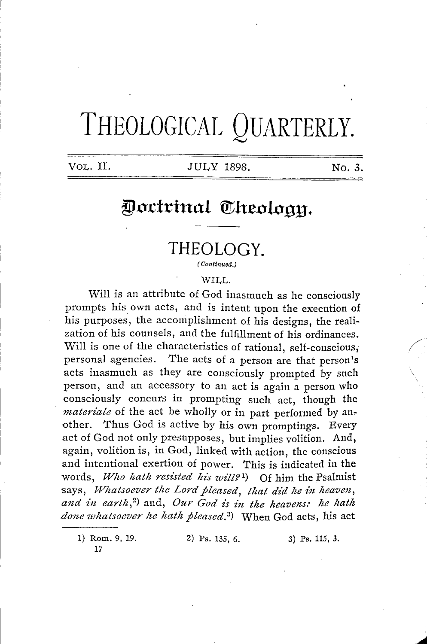# **THEOLOGICAL QUARTERLY.**

#### VOL. II. JULY 1898. No. *3.*

## Doctrinal Theology.

### **THEOLOGY.**

*( Continued.)* 

#### WILL.

Will is an attribute of God inasmuch as he consciously prompts his own acts, and is intent upon the execution of his purposes, the accomplishment of his designs, the realization of his counsels, and the fulfillment of his ordinances. Will is one of the characteristics of rational, self-conscious, personal agencies. The acts of a person are that person's acts inasmuch as they are consciously prompted by such person, and an accessory to an act is again a person who consciously concurs in prompting such act, though the *materiale* of the act be wholly or in part performed by another. Thus God is active by his own promptings. Every act of God not only presupposes, but implies volition. And, again, volition is, in God, linked with action, the conscious and intentional exertion of power. This is indicated in the words, *Who hath resisted his will?*<sup>1</sup>) Of him the Psalmist says, *Whatsoever the Lord pleased, that did he in heaven, and z'n earth,'2·)* and, *Our God z's z'n the heavens: he hath done whatsoever he hath pleased. 3 )* When God acts, his act

1) Rom. 9, 19. 17

2) Ps. 135, 6. 3) Ps. 115, 3.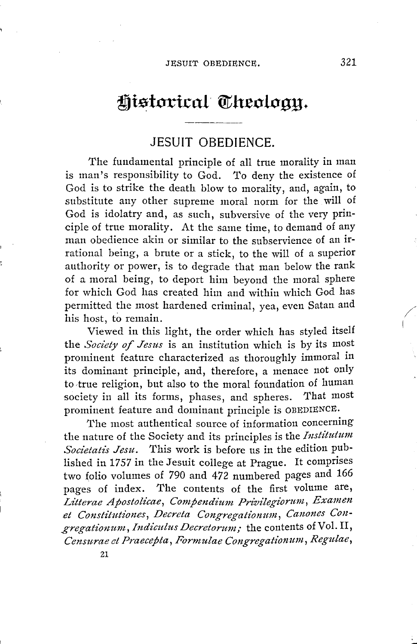### Historical Theology.

#### **JESUIT OBEDIENCE.**

The fundamental principle of all true morality in man is man's responsibility to God. To deny the existence of God is to strike the death blow to morality, and, again, to substitute any other supreme moral norm for the will of God is idolatry and, as such, subversive of the very principle of true morality. At the same time, to demand of any man obedience akin or similar to the subservience of an irrational being, a brute or a stick, to the will of a superior authority or power, is to degrade that man below the rank of a moral being, to deport him beyond the moral sphere for which God has created him and within which God has permitted the most hardened criminal, yea, even Satan and his host, to remain.

Viewed in this light, the order which has styled itself the *Society of Jesus* is an institution which is by its most prominent feature characterized as thoroughly immoral in its dominant principle, and, therefore, a menace not only to true religion, but also to the moral foundation of human society in all its forms, phases, and spheres. That most prominent feature and dominant principle is OBEDIENCE,

The most authentical source of information concerning the nature of the Society and its principles is the *fnstitutum Societatis Jesu .* This work is before us in the edition published in 1757 in the Jesuit college at Prague. It comprises two folio volumes of 790 and 472 numbered pages and 166 pages of index. The contents of the first volume are, Litterae Apostolicae, Compendium Privilegiorum, Examen *et Constitutiones, Decreta Congregationum, Canones Con*gregationum, Indiculus Decretorum; the contents of Vol. II, *Censurae et Praecepta, Fonnulae Congregationum, Regulae,*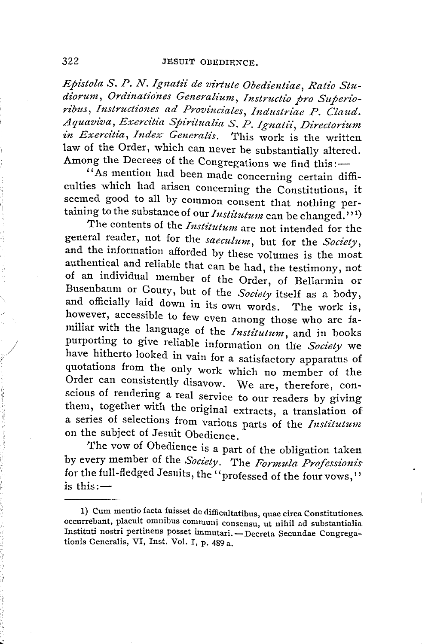*Epistola S. P. N. Ignatii de virtute Obedientiae, Ratio St~*  diorum, Ordinationes Generalium, Instructio pro Superio*ribus, Instructiones ad Provinciales, Industriae P. Claud. Aquaviva, E:r:ercitia Spiritualia S. P. Ignatii, Directorium in Exercitia, Index Generalis.* This work is the written law of the Order, which can never be substantially altered. Among the Decrees of the Congregations we find this:-

''As mention had been made concerning certain difficulties which had arisen concerning the Constitutions, it seemed good to all by common consent that nothing pertaining to the substance of our *Institutum* can be changed.''<sup>1</sup>)

The contents of the *Institutum* are not intended for the general reader, not for the *saeculum,* but for the *Society,*  and the information afforded by these volumes is the most authentical and reliable that can be had, the testimony, not of an individual member of the Order, of Bellarmin or Busenbaum or Goury, but of the *Society* itself as a body, and officially laid down in its own words. The work is, however, accessible to few even among those who are familiar with the language of the *Institutum,* and in books purporting to give reliable information on the *Society* we have hitherto looked in vain for a satisfactory apparatus of quotations from the only work which no member of the Order can consistently disavow. We are, therefore, conscious of rendering a real service to our readers by giving them, together with the original extracts, a translation of a series of selections from various parts of the *Institutum*  on the subject of Jesuit Obedience.

The vow of Obedience is a part of the obligation taken by every member of the *Society*. The *Formula Professionis* by every member of the *Society*. The *Formula Professionis*<br>for the full-fledged Jesuits, the "professed of the four vows,"<br>is this:—

<sup>1)</sup> Cum mentio facta fuisset de difficultatibus, quae circa Constitutiones. occurrebant, placuit omnibus communi consensu, ut nihil ad substantialia Instituti nostri pertinens posset immutari. - Decreta Secundae Congrega-Instituti nostri pertinens posset immutari. — Decreta Secundae Congrega-<br>tionis Generalis, VI, Inst. Vol. I, p. 489 a.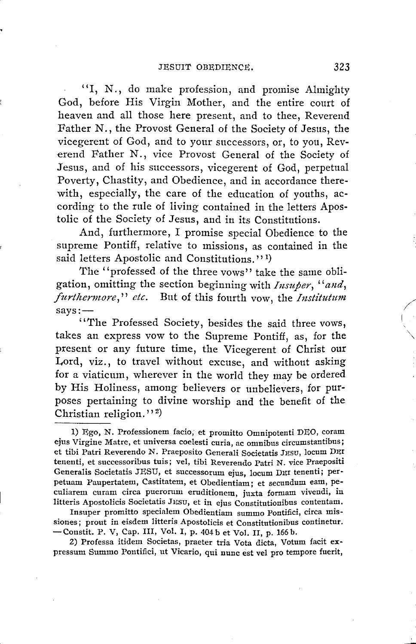"I, N., do make profession, and promise Almighty God, before His Virgin Mother, and the entire court of heaven and all those here present, and to thee, Reverend Father N., the Provost General of the Society of Jesus, the vicegerent of God, and to your successors, or, to you, Reverend Father N., vice Provost General of the Society of Jesus, and of his successors, vicegerent of God, perpetual Poverty, Chastity, and Obedience, and in accordance therewith, especially, the care of the education of youths, according to the rule of living contained in the letters Apostolic of the Society of Jesus, and in its Constitutions.

And, furthermore, I promise special Obedience to the supreme Pontiff, relative to missions, as contained in the said letters Apostolic and Constitutions."<sup>1</sup>)

The "professed of the three vows" take the same obligation, omitting the section beginning with *Insuper, "and, furthermore," etc.* But of this fourth vow, the *Institutum*<br>
says:—<br> *it when Professed Spointy, hardwardy* and *it thus seems* says:--<br>"The Professed Society, besides the said three vows,

takes an express vow to the Supreme Pontiff, as, for the present or any future time, the Vicegerent of Christ our Lord, viz., to travel without excuse, and without asking for a viaticum, wherever in the world they may be ordered by His Holiness, among believers or unbelievers, for purposes pertaining to divine worship and the benefit of the Christian religion."<sup>2</sup>

Insuper promitto specialem Obedientiam summo Pontifici, circa missiones; prout in eisdem litteris Apostolicis et Constitutionibus continetur. -Constit. P. V, Cap. III, Vol. I, p. 404 b et Vol. II, p. 166 b.

2) Professa itidem Societas, praeter tria Vota dicta, Votum facit expressum Summo Pontifici, ut Vicario, qui nunc est vel pro tempore fuerit,

<sup>1)</sup> Ego, N. Professionem facio, et promitto Omnipotenti DEO, coram ejus Virgine Matre, et universa coelesti curia, ac omnibus circumstantibus; et tibi Patri Reverendo N. Praeposito Generali Societatis JESU, locum DEI tenenti, et successoribus tuis; vel, tibi Reverendo Patri N. vice Praepositi Generalis Societatis JESU, et successorum ejus, locum DEI tenenti; perpetuam Paupertatem, Castitatem, et Obedientiam; et secundum eam, pe· culiarem curam circa puerorum eruditionem, juxta formam vivendi, in litteris Apostolicis Societatis JESU, et in ejus Constitutionibus contentam.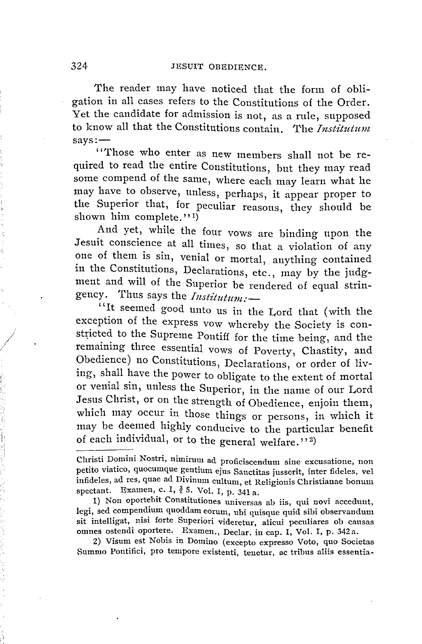The reader may have noticed that the form of obligation in all cases refers to the Constitutions of the Order. Yet the candidate for admission is not, as a rule, supposed xet the candidate for admission is not, as a rule, supposed<br>to know all that the Constitutions contain. The *Institutum*<br>says:—<br>((There when other)

' 'Those who enter as new members shall not be required to read the entire Constitutions, but they may read some compend of the same, where each may learn what he may have to observe, unless, perhaps, it appear proper to the Superior that, for peculiar reasons, they should be shown him complete."<sup>1</sup>

And yet, while the four vows are binding upon the Jesuit conscience at all times, so that a violation of any one of them is sin, venial or mortal, anything contained in the Constitutions, Declarations, etc., may by the judgment and will of the Superior be rendered of equal strin-<br>gency. Thus says the *Institutum*:gency. Thus says the  $Institutum$ : — <br>"It seemed good unto us in the Lord that (with the

exception of the express vow whereby the Society is constricted to the Supreme Pontiff for the time being, and the remaining three essential vows of Poverty, Chastity, and Obedience) no Constitutions, Declarations, or order of living, shall have the power to obligate to the extent of mortal or venial sin, unless the Superior, in the name of our Lord Jesus Christ, or on the strength of Obedience, enjoin them, which may occur in those things or persons, in which it may be deemed highly conducive to the particular benefit of each individual, or to the general welfare."<sup>2)</sup>

1) Non oportebit Constitutiones universas ab iis, qui novi accedunt, legi, sed compendium quoddam eorum, ubi quisque quid sibi observandum sit intelligat, nisi forte Superiori videretur, alicui peculiares ob causas omnes ostendi oportere. Examen., Declar. in cap. I, Vol. I, p. 342a.

2) Visum est Nobis in Domino (excepto expresso Voto, quo Societas Summo Pontifici, pro tempore existenti, tenetur, ac tribus aliis essentia-

,'

 $\bigg/$  ,

Christi Domini Nostri, nimirum ad proficiscendum sine excusatione, non petito viatico, quocumque gentium ejus Sanctitas jusserit, inter fideles, vel infideles, ad res, quae ad Divinum cultum, et Religionis Christianae bonum spectant. Examen, c. I,  $\delta$  5. Vol. I, p. 341 a.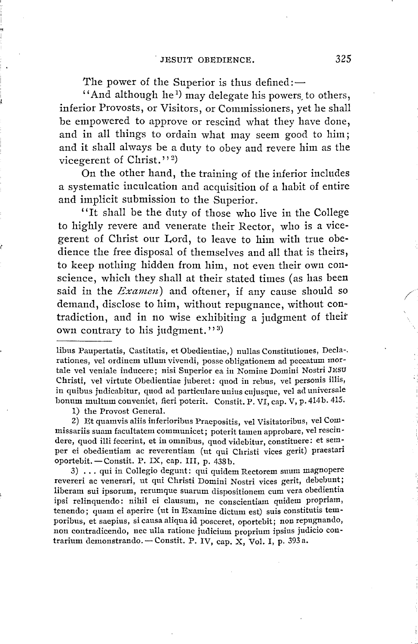The power of the Superior is thus defined: $-$ 

'And although he<sup>1</sup>) may delegate his powers, to others, inferior Provosts, or Visitors, or Commissioners, yet he shall be empowered to approve or rescind what they have done, and in all things to ordain what may seem good to him; and it shall always be a duty to obey and revere him as the vicegerent of Christ."<sup>2</sup>

On the other hand, the training of the inferior includes a systematic inculcation and acquisition of a habit of entire and implicit submission to the Superior.

"It shall be the duty of those who live in the College to highly revere and venerate their Rector, who is a vicegerent of Christ our Lord, to leave to him with true obedience the free disposal of themselves and all that is theirs, to keep nothing hidden from him, not even their own conscience, which they shall at their stated times (as has been said in the *Examen*) and oftener, if any cause should so demand, disclose to him, without repugnance, without contradiction, and in no wise exhibiting a judgment of their own contrary to his judgment."<sup>3</sup>

1) the Provost General.

2) Et quamvis aliis inferioribus Praepositis, vel Visitatoribus, vel Commissariis suam facultatem communicet; poterit tamen approbare, vel rescindere, quod illi fecerint, et in omnibus, quod videbitur, constituere: et semper ei obedientiam ac reverentiam (ut qui Christi vices gerit) praestari oportebit. - Constit. P. IX, cap. III, p. 438b.

3) ... qui in Collegio degunt: qui quidem Rectorem suurn magnopere revereri ac venerari, ut qui Christi Domini Nostri vices gerit, debebunt; Iiberam sui ipsorum, rerumque suarum dispositionem cum vera obedientia ipsi relinquendo: nihil ei clausum, ne conscientiam quidem propriam, tenendo; quam ei aperire (ut in Examine dictum est) suis constitutis temporibus, et saepius, si causa aliqua id posceret, oportebit; non repugnando, poribus, et saepius, si causa anqua id posceret, oportebit; non repugnando,<br>non contradicendo, nec ulla ratione judicium proprium ipsius judicio con-<br>trarium demonstrando. — Constit. P. IV, cap. X, Vol. I, p. 393 a.

libus Paupertatis, Castitatis, et Obedientiae,) nullas Constitutioues, Decla-. rationes, vel ordinem ullum vivendi, posse obligationem ad peccatum mortale vel veniale inducere; nisi Superior ea in Nomine Domini Nostri JESU Christi, vel virtute Obedientiae juberet: quod in rebus, vel personis illis, in quibus judicabitur, quod ad particulare unius cujusque, vel ad universale bonum multum conveniet, fieri poterit. Constit. P. VI, cap. V, p. 414b. 415.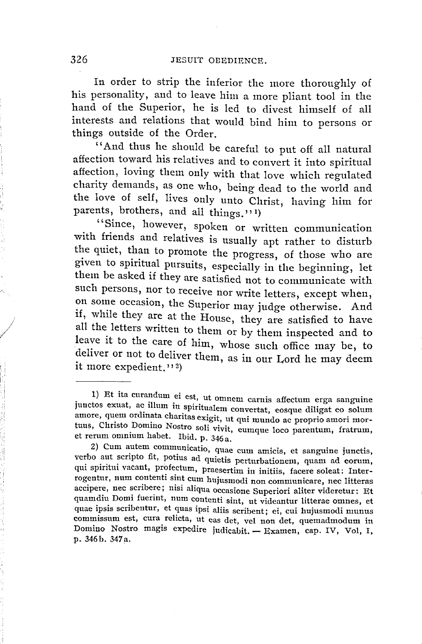In order to strip the inferior the more thoroughly of his personality, and to leave him a more pliant tool in the hand of the Superior, he is led to divest himself of all interests and relations that would bind him to persons or things outside of the Order.

"And thus he should be careful to put off all natural affection toward his relatives and to convert it into spiritual affection, loving them only with that love which regulated charity demands, as one who, being dead to the world and the love of self, lives only unto Christ, having him for parents, brothers, and all things."<sup>1</sup>)

"Since, however, spoken or written communication with friends and relatives is usually apt rather to disturb the quiet, than to promote the progress, of those who are given to spiritual pursuits, especially in the beginning, let them be asked if they are satisfied not to communicate with such persons, nor to receive nor write letters, except when, on some occasion, the Superior may judge otherwise. And if, while they are at the House, they are satisfied to have all the letters written to them or by them inspected and to leave it to the care of him, whose such office may be, to deliver or not to deliver them, as in our Lord he may deem it more expedient." $2)$ 

*I* 

<sup>1)</sup> Et ita curandum ei est, ut omnem carnis affectum erga sanguine junctos exuat, ac illum in spiritualem convertat, eosque diligat eo solum amore, quem ordinata charitas exigit, ut qui mundo ac proprio amori mortuus, Christo Domino Nostro soli vivit, eumque loco parentum, fratrum, et rerum omnium habet. Ibid. p. 346a.

<sup>2)</sup> Cum autem communicatio, quae cum amicis, et sanguine junctis, verbo aut scripto fit, potius ad quietis perturbationem, quam ad eorum, qui spiritui vacant, profectum, praesertim in initiis, facere soleat: Interrogentur, num contenti sint cum hujusmodi non communicare, nee litteras accipere, nee scribere; nisi aliqua occasione Superiori aliter videretur: Et quam diu Domi fuerint, num contenti sint, ut videantur litterae omnes, et quae ipsis scribentur, et quas ipsi aliis scribent; ei, cui hujusmodi munus commissum est, cura relicta, ut eas det, vel non det, quemadmodum in Domino Nostro magis expedire judicabit. - Examen, cap. IV, Vol, I, p. 346b. 347a.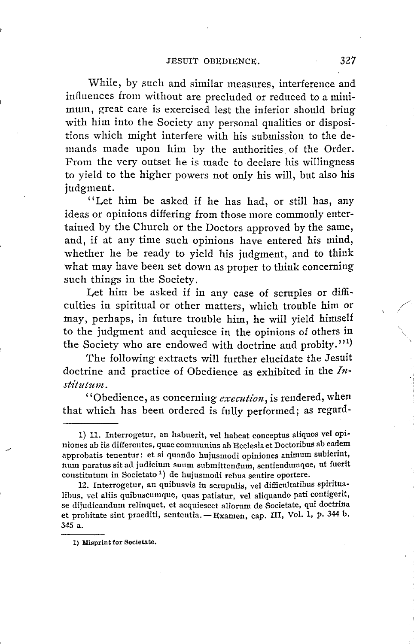While, by such and similar measures, interference and influences from without are precluded or reduced to a minimum, great care is exercised lest the inferior should bring with him into the Society any personal qualities or dispositions which might interfere with his submission to the demands made upon him by the authorities of the Order. From the very outset he is made to declare his willingness to yield to the higher powers not only his will, but also his judgment.

"Let him be asked if he has had, or still has, any ideas or opinions differing from those more commonly entertained by the Church or the Doctors approved by the same, and, if at any time such opinions have entered his mind, whether he be ready to yield his judgment, and to think what may have been set down as proper to think concerning such things in the Society.

Let **him** be asked if in any case of scruples or difficulties in spiritual or other matters, which trouble him or may, perhaps, in future trouble him, he will yield himself to the judgment and acquiesce in the opinions of others in the Society who are endowed with doctrine and probity."<sup>1</sup>

The following extracts will further elucidate the Jesuit doctrine and practice of Obedience as exhibited in the *Institutum.* 

''Obedience, as concerning *execution,* is rendered, when that which has been ordered is fully performed; as regard-

1) Misprint for Societate.

/

'---

<sup>1) 11.</sup> Interrogetur, an habuerit, vel habeat conceptus aliquos vel opiniones ab iis differentes, quae communius ab Ecclesia et Doctoribus ab eadem approbatis tenentur: et si quando hujusmodi opiuiones animum subierint, mun paratus sit ad judicium suum submittendum, sentiendumque, ut fuerit constitutum in Societato <sup>1</sup> ) de hujusmodi rebus sentire oportere.

<sup>12.</sup> Interrogetur, an quibusvis in scrupulis, vel difficultatibus spiritua-Iibus, vel aliis quibuscumque, quas patiatur, vel aliquaudo pati coutigerit, se dijudicandum relinquet, et acquiescet aliorum de Societate, qui doctrina<br>et probitate sint praediti, sententia. — Examen, cap. III, Vol. 1, p. 344 b. 345 a.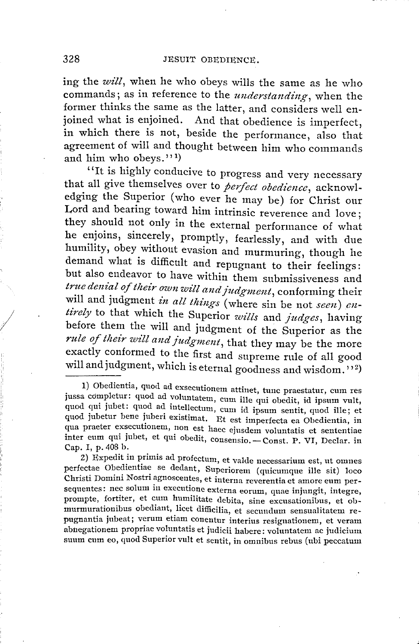ing the *will,* when he who obeys wills the same as he who commands; as in reference to the *understanding*, when the former thinks the same as the latter, and considers well enjoined what is enjoined. And that obedience is imperfect, in which there is not, beside the performance, also that agreement of will and thought between him who commands and him who obeys.''<sup>1</sup>)

"It is highly conducive to progress and very necessary that all give themselves over to *perfect obedience,* acknowledging the Superior ( who ever he may be) for Christ our Lord and bearing toward him intrinsic reverence and love ; they should not only in the external performance of what he enjoins, sincerely, promptly, fearlessly, and with due humility, obey without evasion and murmuring, though he demand what is difficult and repugnant to their feelings: but also endeavor to have within them submissiveness and *true denial of their own will and judgment,* conforming their will and judgment *in all things* (where sin be not *seen) entirely* to that which the Superior *wills* and *judges,* having before them the will and judgment of the Superior as the rule of their will and judgment, that they may be the more exactly conformed to the first and supreme rule of all good will and judgment, which is eternal goodness and wisdom."<sup>2</sup>)

Z) Expedit in primis ad profectum, et valde necessarium est, ut omnes perfectae Obedientiae se dedant, Superiorem (quicumquc ille sit) loco Christi Domini Nostri agnoscentes, et interna reverentia et amore eurn persequentes: nec solum in executione externa eorum, quae injungit, integre, prompte, fortiter, et cum humilitate debita, sine excusationibus, et obmurmurationibus obediant, licet difficilia, et secundum sensualitatem repugnantia jubeat; verum etiam conentur interius resignationem, et veram abnegationem propriae voluntatis et judicii habere: voluntatem ac judicium suum cum eo, quod Superior vult et sentit, in omnibus rebus (ubi peccatum

*I* 

<sup>1)</sup> Obedientia, quod ad exsecutionem attinet, tune praestatur, cum res jussa completur : quod ad voluntatem, cum ille qui obedit, id ipsum vult, quod qui jubet: quod ad intellectum, cum id ipsum sentit, quod ille; et quod jubetur bene juberi existimat. Et est imperfecta ea Obedientia, in quou praeter exsecutionem, non est haec ejusdem voluntatis et sententiae inter eum qui jubet, et qui obedit, consensio.—Const. P. VI, Declar. in<br>inter eum qui jubet, et qui obedit, consensio.—Const. P. VI, Declar. in inter eum qui jubet, et qui obedit, consensio. — Const. P. VI, Declar. in Cap. I, p. 408 b.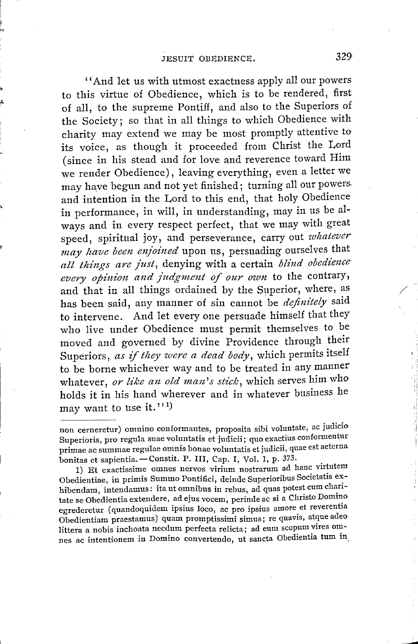'' And let us with utmost exactness apply all our powers to this virtue of Obedience, which is to be rendered, first of all, to the supreme Pontiff, and also to the Superiors of the Society; so that in all things to which Obedience with charity may extend we may be most promptly attentive to its voice, as though it proceeded from Christ the Lord ( since in his stead and for love and reverence toward Him we render Obedience) , leaving everything, even a letter we may have begun and not yet finished; turning all our powers. and intention in the Lord to this end, that holy Obedience in performance, in will, in understanding, may in us be always and in every respect perfect, that we may with great speed, spiritual joy, and perseverance, carry out *whatever* may have been enjoined upon us, persuading ourselves that *all tlzings are just,* denying with a certain *blind obedience every opinion and judgment of our own* to the contrary, and that in all things ordained by the Superior, where, as has been said, any manner of sin cannot be *definitely* said to intervene. And let every one persuade himself that they who live under Obedience must permit themselves to be moved and governed by divine Providence through their Superiors, as if they were a dead body, which permits itself to be borne whichever way and to be treated in any manner whatever, *or like an old man's stick,* which serves him who holds it in his hand wherever and in whatever business he may want to use it."<sup>1</sup>

1) Et exactissime omnes nervos virium nostrarum ad hanc virtutem Obedientiae, in primis Summo Pontifici, deinde Superioribus Societatis exhibendam, intendamus: ita ut omnibus in rebus, ad quas potest cum charitate se Obedientia extendere, ad ejus vocem, perinde ac si a Christo Domino egrederetur (quandoquidem ipsius loco, ac pro ipsius amore et reverentia Obedientiam praestamus) quam promptissimi simus; re quavis, atque adeo littera a nobis inchoata necdum perfecta relicta; ad eum scopum vires omnes ac intentionem in Domino convertendo, ut sancta Obedientia tum in,  $\mathcal{L}^{\frac{1}{2}}$ 

non cerneretur) omnino conformantes, proposita sibi voluntate, ac judicio Superioris, pro regula suae voluntatis et judicii; quo exactius conformentur superioris, pro regula suae voluntatis et judicii, quo exactus como<br>primae ac summae regulae omnis bonae voluntatis et judicii, quae est aeterna<br>bonitas et sapientia...—Constit. P. III, Cap. I, Vol. 1, p. 373.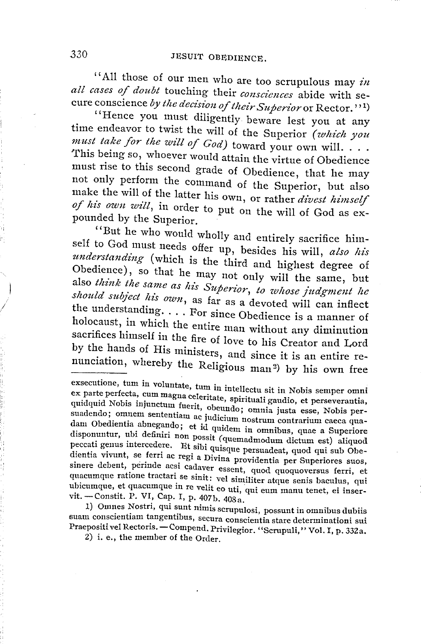'' All those of our men who are too scrupulous may *in*  all cases of doubt touching their consciences abide with secure conscience by the decision of their Superior or Rector.''<sup>1</sup>)

"Hence you must diligently beware lest you at any time endeavor to twist the will of the Superior (which you *must take for the will of God*) toward your own will.  $\ldots$ This being so, whoever would attain the virtue of Obedience must rise to this second grade of Obedience, that he may not only perform the command of the Superior, but also make the will of the latter his own, or rather *divest himself* of his own will, in order to put on the will of God as expounded by the Superior.

''But he who would wholly and entirely sacrifice himself to God must needs offer up, besides his will, also his *understanding (* which is the third and highest degree of Obedience), so that he may not only will the same, but also *think the same as his Superior, to whose judgment he* should subject his own, as far as a devoted will can inflect the understanding. . . . For since Obedience is a manner of holocaust, in which the entire man without any diminution sacrifices himself in the fire of love to his Creator and Lord by the hands of His ministers, and since it is an entire renunciation, whereby the Religious man 2) by his own free

suam conscientiam tangentibus, secura conscientia stare determinationi sui Praepositi vel Rectoris. - Compend. Privilegior. "Scrupuli," Vol. I, p. 332a.

2) i. e., the member of the Order.

exsecutione, tum in voluntate, tum in intellectu sit in Nobis semper omni ex parte perfecta, cum magna celeritate, spirituali gaudio, et perseverantia, quidquid Nobis injunctum fuerit, obeundo; omnia justa esse, Nobis persuadendo; omnem sententiam ac judicium nostrum contrarium caeca quadam Obedientia abnegando; et id quidem in omnibus, quae a Superiore disponuntur, ubi definiri non possit ( quemadmodum dictum est) aliquod peccati genus intercedere. Et sibi quisque persuadeat, quod qui sub Obedientia vivunt, se ferri ac regi a Divina providentia per Superiores suos, sinere debent, perinde acsi cadaver essent, quod quoquoversus ferri, et quacumque ratione tractari se sinit: vel similiter atque senis baculus, qui ubicumque, et quacumque m re velit eo uti, qui eum manu tenet, er mser-vit. -Constit. P. VI, Cap. I, p. 407b. 408a. .. vit. — Constit. P. VI, Cap. I, p. 407b. 408a.<br>1) Omnes Nostri, qui sunt nimis scrupulosi, possunt in omnibus dubiis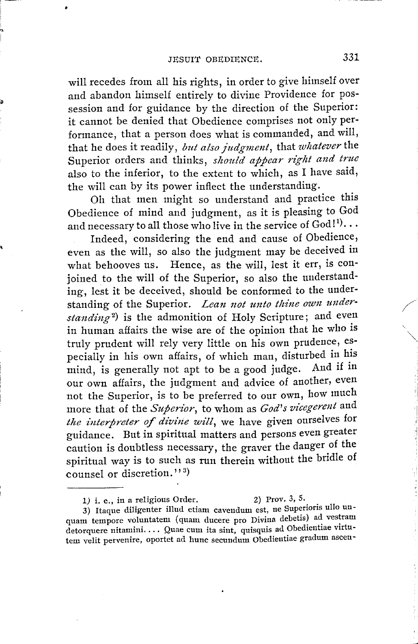will recedes from all his rights, in order to give himself over and abandon himself entirely to divine Providence for possession and for guidance by the direction of the Superior: it cannot be denied that Obedience comprises not only performance, that a person does what is commanded, and will, that he does it readily, *but also judgment*, that *whatever* the Superior orders and thinks, *should appear right and true*  also to the inferior, to the extent to which, as I have said, the will can by its power inflect the understanding.

Oh that men might so understand and practice this Obedience of mind and judgment, as it is pleasing to God and necessary to all those who live in the service of  $\mathrm{God}!^1 \!\cdot\! \cdots$ 

Indeed, considering the end and cause of Obedience, even as the will, so also the judgment may be deceived in what behooves us. Hence, as the will, lest it err, is conjoined to the will of the Superior, so also the understanding, lest it be deceived, should be conformed to the understanding of the Superior. *Lean not unto thine own understanding2)* is the admonition of Holy Scripture; and even in human affairs the wise are of the opinion that he who is truly prudent will rely very little on his own prudence, especially in his own affairs, of which man, disturbed in his mind, is generally not apt to be a good judge. And if in our own affairs, the judgment and advice of another, even not the Superior, is to be preferred to our own, how much more that of the *Superior*, to whom as *God's vicegerent* and *the interpreter of divine will*, we have given ourselves for the interpreter of divine will, we have given ourselves for guidance. But in spiritual matters and persons even greater caution is doubtless necessary, the graver the danger of the spiritual way is to such as run therein without the bridle of counsel or discretion."<sup>3</sup>

3) Itaque diligenter illud etiam cavendum est, ne Superioris ullo unquam tempore voluntatem (quam ducere pro Divina debetis) ad vestram detorquere nitamini. ... Quae cum ita sint, quisquis ad Obedientiae virtutern velit pervenire, oportet ad hunc secundum Obedientiae gradum ascen-

*<sup>1)</sup>* i. e., in a religious Order. 2) Prov. *3,* 5.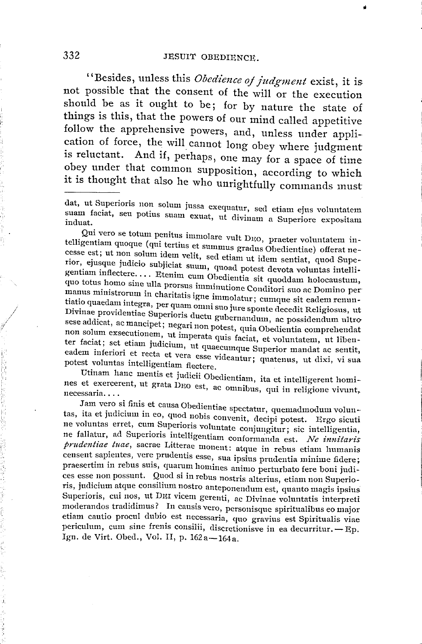ti

"Besides, unless this *Obedience oj judgment* exist, it is not possible that the consent of the will or the execution should be as it ought to be; for by nature the state of things is this, that the powers of our mind called appetitive follow the apprehensive powers, and, unless under application of force, the will cannot long obey where judgment is reluctant. And if, perhaps, one may for a space of time obey under that common supposition, according to which it is thought that also he who unrightfully commands must

Qui vero se totum penitus immolare vult D1w, praeter voluntatem intelligentiam quoque (qui tertius et sumrnus gradus Obeclientiae) offerat necesse est; ut non solum idem velit, sed etiam ut idem sentiat, quod Superior, ejusque judicio subjiciat suum, quoad potest devota voluntas intelligentiam inflectere .... Etenim cum Obedientia sit quoddam holocaustum, quo totus homo sine ulla prorsus imminutione Conditori suo ac Domino per manus ministrorum in charitatis igne immolatur; cumque sit eadem renuntiatio quaedam integra, per quam omni suo jure sponte decedit Religiosus, ut Divinae providentiae Superioris ductu gubernandum, ac possidendum ultro sese addicat, ac mancipet; negari non potest, quia Obedientia comprehendat non solum exsecutionem, ut imperata quis faciat, et voluntatem, ut libenter faciat; set etiam judicium, ut quaecumque Superior mandat ac sentit, eadern inferiori et recta et vera esse videantur; quatenus, ut dixi, vi sua potest voluntas intelligentiam flectere.

Utinam hanc mentis et judicii Obedientiam, ita et intelligerent homi-· nes et exercerent, ut grata D<sub>EO</sub> est, ac omnibus, qui in religione vivunt, necessaria....

Jam vero si finis et causa Obedientiae spectatur, quemadmodum volun-· tas, ita et judicium in eo, quod nobis convenit, decipi potest. Ergo sicuti ne voluntas erret, cum Superioris voluntate conjungitur; sic intelligentia, ne fallatur, ad Superioris intelligentiam conformanda est. *Ne innitaris prudentiae tuae,* sacrae Litterae monent: atque in rebus etiam lmmanis censent sapientes, vere prudentis esse, sua ipsius prudentia minime ficlere; praesertim in rebus suis, quarum homines animo perturbato fere boni judices esse non possunt. Quod si in rebus nostris alterius, etiam non Superioris, judicium atque consilium nostro anteponendum est, quanto magis ipsius Superioris, cui nos, ut DEI vicem gerenti, ac Divinae voluntatis interpreti moderandos tradidimus? In causis vero, personisque spirituahbus eo maior etiam cautio procul dubio est necessaria, quo gravius est Spiritualis viae etiam cautio procul dubio est necessaria, quo gravius est Spiritualis viae<br>periculum, cum sine frenis consilii, discretionisve in ea decurritur. - Ep.<br>Ign. de Virt. Obed., Vol. II, p. 162 a - 164 a.

dat, ut Superioris non solum jussa exequatur, sed etiam ejus voluntatem suam faciat, seu potius suam exuat, ut divinam a Superiore expositam induat,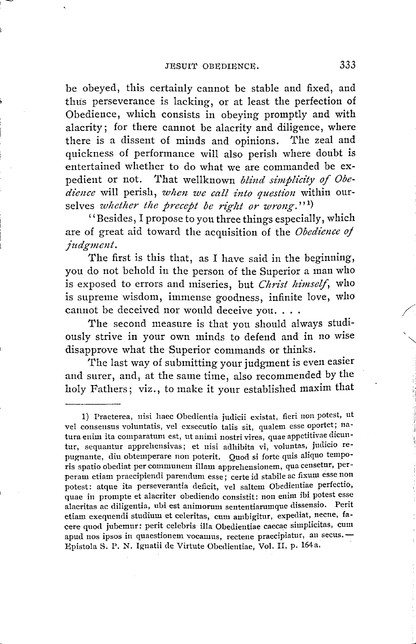be obeyed, this certainly cannot be stable and fixed, and thus perseverance is lacking, or at least the perfection of Obedience, which consists in obeying promptly and with alacrity; for there cannot be alacrity and diligence, where there is a dissent of minds and opinions. The zeal and quickness of performance will also perish where doubt is entertained whether to do what we are commanded be ex-pedient or not. That wellknown *blind simplicity of Obedience* will perish, *wlten we call into question* within ourselves *whether the precept be right or wrong*."<sup>1</sup>)

''Besides, I propose to you three things especially, which are of great aid toward the acquisition of the *Obedience oj judgment.* 

The first is this that, as I have said in the beginning, you do not behold in the person of the Superior a man who is exposed to errors and miseries, but *Christ himself*, who is supreme wisdom, immense goodness, infinite love, who cannot be deceived nor would deceive you....

The second measure is that you should always studiously strive in your own minds to defend and in no wise disapprove what the Superior commands or thinks.

The last way of submitting your judgment is even easier and surer, and, at the same time, also recommended by the holy Fathers; viz., to make it your established maxim that

<sup>1)</sup> Praeterea, nisi haec Obedientia judicii existat, fieri non potest, ut vel consensus voluntatis, vel exsecutio talis sit, qualem esse oportet; natura enim ita comparatum est, ut animi nostri vires, quae appetitivae dicuntur, sequantur apprehensivas; et nisi adhibita vi, voluntas, judicio repugnante, diu obtemperare non poterit. Quod si forte quis aliquo temporis spatio obediat per communem illam apprehensionem, qua censetur, perperam etiam praecipiendi parendum esse; certe id stabile ac fixum esse non potest: atque ita perseverantia deficit, vel saltem Obedientiae perfectio, quae in prompte et alacriter obediendo consistit: non enim ibi potest esse alacritas ac diligentia, ubi est animorum sententiarumque dissensio. Perit etiam exequendi studium et celeritas, cum ambigitur, expediat, necne, fa-~ere quod jubemur: perit celebris illa Obedientiae caecae simplicitas, cum apud nos ipsos in quaestionem vocamus, rectene praecipiatur, an secus. Epistola S. P. N. Ignatii cle Virtute Obedientiae, Vol. II, p. 164a. ·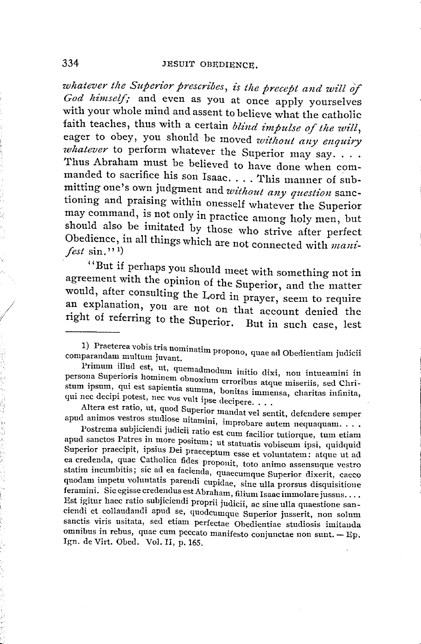*whatever the Superior prescribes, is the precept and will o'f God himself;* and even as you at once apply yourselves with your whole mind and assent to believe what the catholic faith teaches, thus with a certain *blind impulse of the will*, eager to obey, you should be moved *without any enquiry whatever* to perform whatever the Superior may say.... Thus Abraham must be believed to have done when commanded to sacrifice his son Isaac .... This manner of submitting one's own judgment and *without any question* sanctioning and praising within onesself whatever the Superior may command, is not only in practice among holy men, but should also be imitated by those who strive after perfect Obedience, in all things which are not connected with *mani-*<br>*fest* sin.''<sup>1</sup>

"But if perhaps you should meet with something not in agreement with the opinion of the Superior, and the matter would, after consulting the Lord in prayer, seem to require an explanation, you are not on that account denied the right of referring to the Superior. But in such case, lest

Primum illud est, ut, quemadmodum initio dixi, non intueamini in persona Superioris hominem obnoxium erroribus atque miseriis, sed Christum ipsum, qui est sapientia summa, bonitas immensa, charitas infinita, qui nee decipi potest, nee vos vult ipse decipere....

Altera est ratio, ut, quod Superior mandat vel sentit, defendere semper apud animos vestros studiose nitamini, improbare autem nequaquam....

Postrema subjiciendi judicii ratio est cum facilior tutiorque, tum etiam apud sanctos Patres in more positum; ut statuatis vobiscum ipsi, quidquid Superior praecipit, ipsius Dei praeceptum esse et voluntatem: atque ut ad ea credenda, quae Catholica fides proponit, toto animo assensuque vestro statim incumbitis; sic ad ea facienda, quaecumque Superior dixerit, caeco quodam impetu voluntatis parendi cupidae, sine ulla prorsus disquisitione feramini. Sic egisse credendus est Abraham, filium Isaac immolare jussus.... Est igitur haec ratio subjiciendi proprii judicii, ac sine ulla quaestione sanciendi et collaudandi apud se, quodcumque Superior jusserit, non solum sanctis viris usitata, sed etiam perfectae Obedientiae studiosis imitanda omnibus in rebus, quae cum peccato manifesto conjunctae non sunt.  $-$  Ep. Ign. de Virt. Obed. Vol. II, p. 165.

<sup>1)</sup> Praeterea vobis tria nominatim propono, quae ad Obedientiam judicii<br>comparandam multum juvant.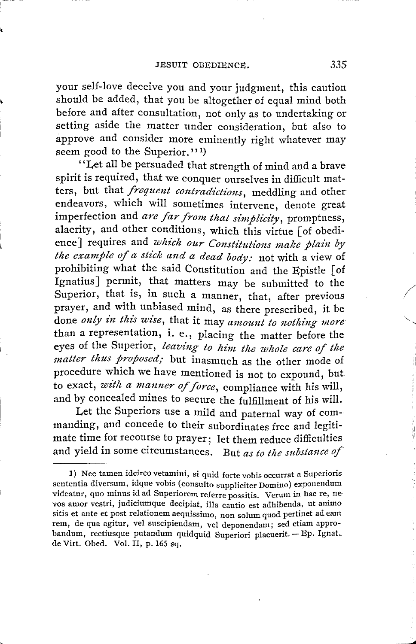your self-love deceive you and your judgment, this caution should be added, that you be altogether of equal mind both before and after consultation, not only as to undertaking or setting aside the matter under consideration, but also to approve and consider more eminently right whatever may seem good to the Superior."<sup>1</sup>

''Let all be persuaded that strength of mind and a brave spirit is required, that we conquer ourselves in difficult matters, but that *frequent contradictions,* meddling and other endeavors, which will sometimes intervene, denote great imperfection and *are far from that simplicity,* promptness, alacrity, and other conditions, which this virtue [ of obedience] requires and *which our Constitutions make plain by the example of a stick and a dead body:* not with a view of prohibiting what the said Constitution and the Epistle [ of Ignatius] permit, that matters may be submitted to the Superior, that is, in such a manner, that, after previous prayer, and with unbiased mind, as there prescribed, it be done *only in this wise*, that it may *amount to nothing more* than a representation, i. e., placing the matter before the eyes of the Superior, *leaving to him the whole care of the matter thus proposed;* but inasmuch as the other mode of procedure which we have mentioned is not to expound, but<br>to exact, *with a manner of force*, compliance with his will, to exact, with a manner of force, compliance with his will, and by concealed mines to secure the fulfillment of his will.

Let the Superiors use a mild and paternal way of commanding, and concede to their subordinates free and legitimate time for recourse to prayer; let them reduce difficulties and yield in some circumstances. But *as to the substance of*  /

 $\sim$   $\sim$ 

<sup>1)</sup> Nee tamen idcirco vetamini, si quid forte vobis occurrat a Superioris sententia diversum, idque vobis ( consulto suppliciter Domino) exponendum videatur, quo minus id ad Superiorem referre possitis. Verum in hac re, nevos amor vestri, judiciumque decipiat, illa cautio est adhibenda, ut ammo sitis et ante et post relationem aequissimo, non solum quod pertinet ad eam rem, de qua agitur, vel suscipiendam, vel deponendam; sed etiam approbandum, rectiusque putandum quidquid Superiori placuerit. - Ep. Ignat. de Virt. Obed. Vol. II, p. 165 sq.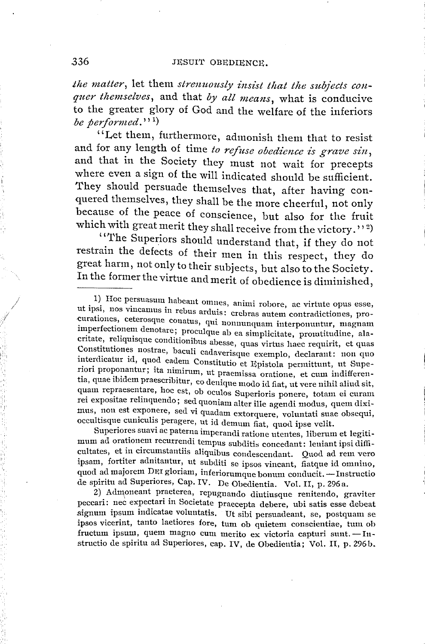the matter, let them *strenuously insist that the subjects conquer themselves,* and that *by all means,* what is conducive to the greater glory of God and the welfare of the inferiors be performed."<sup>1</sup>)

"Let them, furthermore, admonish them that to resist and for any length of time to refuse obedience is grave sin, and that in the Society they must not wait for precepts where even a sign of the will indicated should be sufficient. They should persuade themselves that, after having conquered themselves, they shall be the more cheerful, not only because of the peace of conscience, but also for the fruit which with great merit they shall receive from the victory.''<sup>2)</sup>

''The Superiors should understand that, if they do not restrain the defects of their men in this respect, they do great harm, not only to their subjects, but also to the Society. In the former the virtue and merit of obedience is diminished,

Superiores suavi ac paterna imperandi ratione utentes, Iiberum et legitimum ad orationem recurrendi tempus subditis concedant: leniant ipsi difficultates, et in circumstantiis aliquibus condesccndant. Quod ad rem vero ipsam, fortiter adnitantur, ut subditi se ipsos vincant, fiatque id omnino, quod ad majorem DEI gloriam, inferiorumque bonum conducit. - Instructio de spiritu ad Superiores, Cap. IV. De Obedientia. Vol. II, p. 296a.

2) Admoneant praeterea, repugnando diutiusque renitendo, graviter peccari: nec expectari in Societate praecepta debere, ubi satis esse debeat signum ipsum indicatae voluntatis. Ut sibi persuadeant, se, postquam se ipsos vicerint, tanto laetiores fore, tum ob quietem conscientiae, tum ob fructum ipsum, quem magno cum merito ex victoria capturi sunt. -Infructum ipsum, quem magno cum merito ex victoria capturi sunt. - Instructio de spiritu ad Superiores, cap. IV, de Obedientia; Vol. II, p. 296b.

/

<sup>1)</sup> Hoc persuasum habeant omnes, animi robore, ac virtute opus esse, ut ipsi, nos vincamus in rebus arduis: crebras autem contradictiones, procurationes, ceterosque conatus, qui nonnunquam interponuntur, magnam imperfectionem denotare; proculque ab ea simplicitate, promtitudine, alacritate, reliquisque conditionibus abesse, quas virtus haec requirit, et quas Constitutiones nostrae, baculi cadaverisque exemplo, declarant: non quo interdicatur id, quad eadem Constitutio et Epistola permittunt, ut Superiori proponantur; ita nimirum, ut praemissa oratione, et cum indifferentia, quae ibidem praescribitur, eo denique modo id fiat, ut vere nihil aliud sit, quam repraesentare, hoc est, ob cculos Superioris ponere, totam ei curam rei expositae relinquendo; sed quoniam alter ille agendi modus, quem diximus, non est exponere, sed vi quadam extorquere, voluntati suae obsequi, occultisque cuniculis peragere, ut id demum fiat, quod ipse velit. .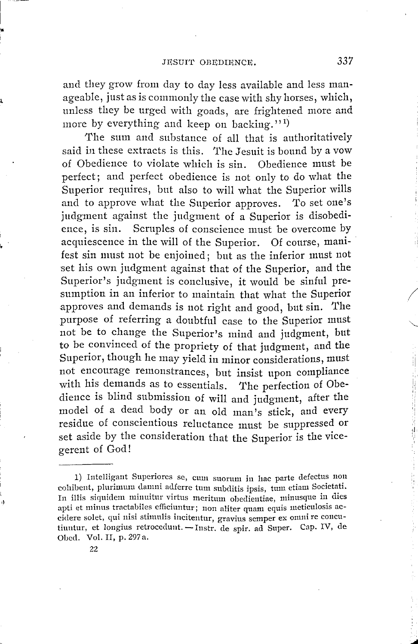and they grow from day to day less available and less manageable, just as is commonly the case with shy horses, which, unless they be urged with goads, are frightened more and more by everything and keep on backing."<sup>1)</sup>

The sum and substance of all that is authoritatively said in these extracts is this. The Jesuit is bound by a vow of Obedience to violate which is sin. Obedience must be perfect; and perfect obedience is not only to do what the Superior requires, but also to will what the Superior wills and to approve what the Superior approves. To set one's judgment against the judgment of a Superior is disobedience, is sin. Scruples of conscience must be overcome by acquiescence in the will of the Superior. Of course, manifest sin must not be enjoined; but as the inferior must not set his own judgment against that of the Superior, and the Superior's judgment is conclusive, it would be sinful presumption in an inferior to maintain that what the Superior approves and demands is not right and good, but sin. The purpose of referring a doubtful case to the Superior must not be to change the Superior's mind and judgment, but to be convinced of the propriety of that judgment, and the Superior, though he may yield in minor considerations, must not encourage remonstrances, but insist upon compliance with his demands as to essentials. The perfection of Obedience is blind submission of will and judgment, after the model of a dead body or an old man's stick, and every residue of conscientious reluctance must be suppressed or set aside by the consideration that the Superior is the viceperent of God!

22

"'

/

<sup>1)</sup> Intelligant Superiores se, cum suorum in hac parte defectus non cohibent, plurimum damni adferre tum subditis ipsis, tum etiam Societati. In illis siquidem minuitur virtus meritum obedientiae, minusque in dies apti et minus tractabiles efficiuntur; non aliter quam equis meticulosis accidere solet, qui nisi stimulis incitentur, gravius semper ex omni re concutiuntur, et longius retrocedunt. - Instr. de spir. ad Super. Cap. IV, de Obed. Vol. II, p. 297 a.